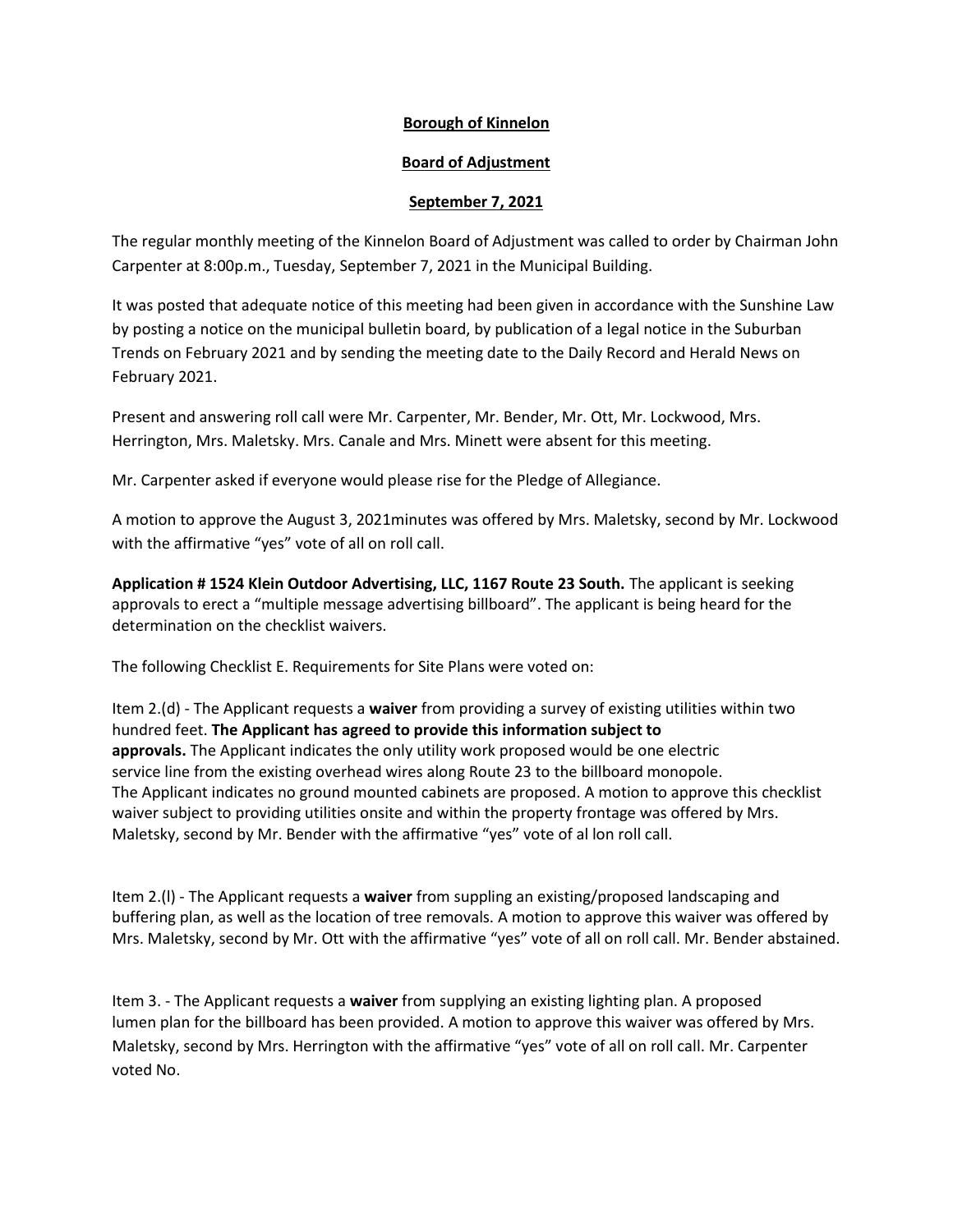## **Borough of Kinnelon**

## **Board of Adjustment**

## **September 7, 2021**

The regular monthly meeting of the Kinnelon Board of Adjustment was called to order by Chairman John Carpenter at 8:00p.m., Tuesday, September 7, 2021 in the Municipal Building.

It was posted that adequate notice of this meeting had been given in accordance with the Sunshine Law by posting a notice on the municipal bulletin board, by publication of a legal notice in the Suburban Trends on February 2021 and by sending the meeting date to the Daily Record and Herald News on February 2021.

Present and answering roll call were Mr. Carpenter, Mr. Bender, Mr. Ott, Mr. Lockwood, Mrs. Herrington, Mrs. Maletsky. Mrs. Canale and Mrs. Minett were absent for this meeting.

Mr. Carpenter asked if everyone would please rise for the Pledge of Allegiance.

A motion to approve the August 3, 2021minutes was offered by Mrs. Maletsky, second by Mr. Lockwood with the affirmative "yes" vote of all on roll call.

**Application # 1524 Klein Outdoor Advertising, LLC, 1167 Route 23 South.** The applicant is seeking approvals to erect a "multiple message advertising billboard". The applicant is being heard for the determination on the checklist waivers.

The following Checklist E. Requirements for Site Plans were voted on:

Item 2.(d) - The Applicant requests a **waiver** from providing a survey of existing utilities within two hundred feet. **The Applicant has agreed to provide this information subject to approvals.** The Applicant indicates the only utility work proposed would be one electric service line from the existing overhead wires along Route 23 to the billboard monopole. The Applicant indicates no ground mounted cabinets are proposed. A motion to approve this checklist waiver subject to providing utilities onsite and within the property frontage was offered by Mrs. Maletsky, second by Mr. Bender with the affirmative "yes" vote of al lon roll call.

Item 2.(l) - The Applicant requests a **waiver** from suppling an existing/proposed landscaping and buffering plan, as well as the location of tree removals. A motion to approve this waiver was offered by Mrs. Maletsky, second by Mr. Ott with the affirmative "yes" vote of all on roll call. Mr. Bender abstained.

Item 3. - The Applicant requests a **waiver** from supplying an existing lighting plan. A proposed lumen plan for the billboard has been provided. A motion to approve this waiver was offered by Mrs. Maletsky, second by Mrs. Herrington with the affirmative "yes" vote of all on roll call. Mr. Carpenter voted No.